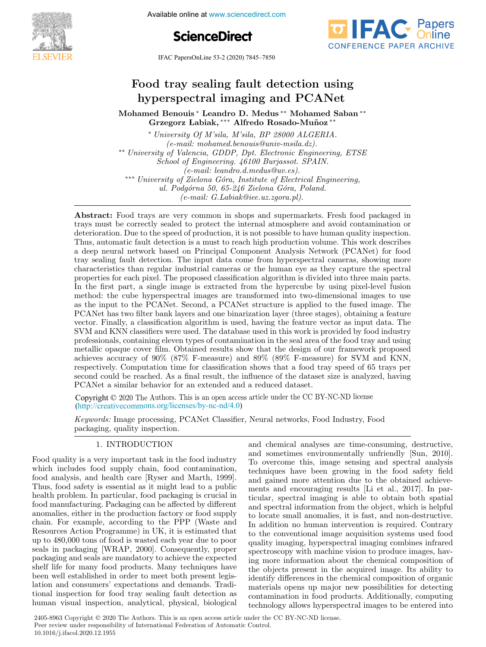Available online at www.sciencedirect.com





IFAC PapersOnLine 53-2 (2020) 7845–7850

# Food tray sealing fault detection using  $\mathbf{v}$  Leandro D. Medus ∗∗ Mohamed Saban ∗∗ Mohamed Saban ∗∗ Mohamed Saban ∗∗ Mohamed Saban ∗∗ Mohamed Saban ∗∗ Mohamed Saban ∗∗ Mohamed Saban ∗∗ Mohamed Saban ∗∗ Mohamed Saban ∗∗ Mohamed Saban ∗∗ Mohamed Saban ∗∗ Moham hyperspectral imaging and PCANet

Mohamed Benouis ∗ Leandro D. Medus \*\* Mohamed Saban \*\* Grzegorz Labiak, ∗∗∗ Alfredo Rosado-Mu˜noz ∗∗ Mohamed Benouis ∗ Leandro D. Medus ∗∗ Mohamed Saban ∗∗ Mohamed Benouis ∗ Leandro D. Medus ∗∗ Mohamed Saban ∗∗ led Benouis Leandro D. Medus ™Nonamed :

\* University Of M'sila, M'sila, BP 28000 ALGERIA.  $(e$ -mail: mohamed.benouis@univ-msila.dz). \*\* University of Valencia, GDDP, Dpt. Electronic Engineering, ETSE ∴ School of Engineering. 46100 Burjassot. SPAIN. (e-mail: leandro.d.medus@uv.es). School of Engineering. 46100 Burjassot. SPAIN. (e-mail: leandro.d.medus@uv.es). (e-mail: leandro.d.medus@uv.es). e-mail: leandro.d.medus@uv.es).<br>\*\*\* University of Zielona Góra, Institute of Electrical Engineering.  $ul.$  Podgórna 50, 65-246 Zielona Góra, Poland.  $(e-mail: G.Labiak@iee. uz. zgora.pl).$  $\frac{1}{2}$  $\Omega$ elona Gora, Institute of Electr (e-mail: mohamed.benouis@univ-msila.dz). (e-mail: mohamed.benouis@univ-msila.dz). ∗∗ University of Valencia, GDDP, Dpt. Electronic Engineering, ETSE ∗∗ University of Valencia, GDDP, Dpt. Electronic Engineering, ETSE ∗ University Of M'sila, M'sila, BP 28000 ALGERIA. School of Engineering. 46100 Burjassot. SPAIN. School of Engineering. 46100 Burjassot. SPAIN. ∗∗ University of Valencia, GDDP, Dpt. Electronic Engineering, ETSE ∗∗∗ University of Zielona G´ora, Institute of Electrical Engineering, ∗∗∗ University of Zielona G´ora, Institute of Electrical Engineering, School of Engineering. 46100 Burjassot. SPAIN. rsuy of zietona Gora, institute of Electrical En<br>ul. Podgórna 50, 65-246 Zielona Góra, Poland. ul. Podgorna 50, 65-246 Zielona Gora, Podini.<br>
(e-mail: G.Labiak@iee.uz.zgora.pl).  $\mathcal{C}_{\text{U}}$  valencia, GDDF, Dpt. Electronic Engin  $u_t$ . Fougorna 90, 09-240 Zielona Gora, Folana.

Abstract: Food trays are very common in shops and supermarkets. Fresh food packaged in trays must be correctly sealed to protect the internal atmosphere and avoid contamination or deterioration. Due to the speed of production, it is not possible to have human quality inspection. Thus, automatic fault detection is a must to reach high production volume. This work describes and the method of the method of the method of the method of the method of the method of the method of the method of the method of the method of the method of the method of the method of the method of the method of the meth tray sealing fault detection. The input data come from hyperspectral cameras, showing more characteristics than regular industrial cameras or the human eye as they capture the spectral properties for each pixel. The proposed classification algorithm is divided into three main parts. In the first part, a single image is extracted from the hypercube by using pixel-level fusion m the mst part, a single image is extracted from the hypercube by using place fever rushing<br>method: the cube hyperspectral images are transformed into two-dimensional images to use as the input to the PCANet. Second, a PCANet structure is applied to the fused image. The PCANet has two filter bank layers and one binarization layer (three stages), obtaining a feature rection and the bank layers and one binarization layer (time stages), obtaining a reading<br>vector. Finally, a classification algorithm is used, having the feature vector as input data. The SVM and KNN classifiers were used. The database used in this work is provided by food industry professionals, containing eleven types of contamination in the seal area of the food tray and using metallic opaque cover film. Obtained results show that the design of our framework proposed achieves accuracy of 90% (87% F-measure) and 89% (89% F-measure) for SVM and KNN, respectively. Computation time for classification shows that a food tray speed of 65 trays per respectively. Computation time for classification shows that a food tray speed of the dataset<br>second could be reached. As a final result, the influence of the dataset size is analyzed, having PCANet a similar behavior for an extended and a reduced dataset. metallic opaque cover film. Obtained results show that the design of our framework proposed **Food tray scaling fault detection using** modes are not detection of the chemical component analysis are not detection of organic modes in the chemical component and the chemical component and the chemical component and (e) Abstract: Food trays are very common in shops and supermarkets. Fresh food packaged in PCANet a similar behavior for an extended and a reduced dataset.

Copyright © 2020 The Authors. This is an open access article under the CC BY-NC-ND license (http://creativecommons.org/licenses/by-nc-nd/4.0) Copyright  $\odot$  2020 The Authors. This is an open access article under the CO  $\frac{a}{a}$  $S_{\text{conarith}}(\hat{\theta}, 2020 \text{ Tho A}, \text{uthors. This is an open process article under the CC RVMCLND license})$ 

Keywords: Image processing, PCANet Classifier, Neural networks, Food Industry, Food Keywords: Image processing, PCANet Classifier, Neural networks, Food Industry, Food<br>packaging, quality inspection packaging, quality inspection. Keywords: Image processing, PCANet Classifier, Neural networks, Food Industry, Food and chemical analyses are time-consuming, destructive,

#### 1. International control of the control of the control of the control of the control of the control of the con<br>1. International control of the control of the control of the control of the control of the control of the con 1. INTRODUCTION 1. INTRODUCTION  $\overline{1.11}$ 1. <del>INTRODUCTION</del>

Food quality is a very important task in the food industry Food quality is a very important task in the food industry Food quality is a very important task in the food industry which includes food supply chain, food contamination, Food quality is a very important task in the food industry which includes food supply chain, food contamination, which includes food supply chain, food contamination, which includes food supply chain, food contamination, food analysis, and health care [Ryser and Marth, 1999]. Thus, food safety is essential as it might lead to a public health problem. In particular, food packaging is crucial in neath problem. In particular, lood packaging is crucial in<br>food manufacturing. Packaging can be affected by different hood manufacturing. I ackaging can be an<br>ecceed by different anomalies, either in the production factory or food supply anomalies, entire in the production factory of food supply<br>chain. For example, according to the PPP (Waste and chain. For example, according to the TTT (waste and<br>Resources Action Programme) in UK, it is estimated that the method of 1 rogramme) in UK, it is estimated that<br>up to 480,000 tons of food is wasted each year due to poor up to 480,000 tons of food is wasted each year due to poor<br>seals in packaging [WRAP, 2000]. Consequently, proper packaging and seals are mandatory to achieve the expected<br>packaging and seals are mandatory to achieve the expected packaging and seals are mandatory to achieve the expected<br>shelf life for many food products. Many techniques have been well established in order to meet both present legisbeen wen established in order to meet both present legislation and consumers' expectations and demands. Tradiration and consumers' expectations and demands. Traditional inspection for food tray sealing fault detection as human visual inspection, analytical, physical, biological which is a contaminate the supply chain in the supply chain. seals in packaging [WIAI, 2000]. Consequently, proper lation as expected to consumer that we have a higher the latitude of the consumer that the consumer that the consumer that the consumer that the consumer that the consumer that the consumer that the consumer that the consu which increases food supply chain, food contamination, food analysis, and health care [Ryser and Marth, 1999]. ap to 100,000 toms of food is wasted each year due to poor seals in packaging [WRAP, 2000]. Consequently, proper tional inspection for food tray sealing fault detection as human visual inspection, analytical, physical, biological tional visual impection, analysical, physical, biological and chemical analyses are time-consuming, destructive, and chemical analyses are time-consuming, destructive, and chemical analyses are time-consuming, destructive,<br>and sometimes environmentally unfriendly [Sun, 2010]. To overcome this, image sensing and spectral analysis techniques have been growing in the food safety field and gained more attention due to the obtained achievements and encouraging results [Li et al., 2017]. In particular, spectral imaging is able to obtain both spatial and spectral information from the object, which is helpful to locate small anomalies, it is fast, and non-destructive. In addition no human intervention is required. Contrary to the conventional image acquisition systems used food quality imaging, hyperspectral imaging combines infrared spectroscopy with machine vision to produce images, having more information about the chemical composition of the objects present in the acquired image. Its ability to identify differences in the chemical composition of organic materials opens up major new possibilities for detecting contamination in food products. Additionally, computing technology allows hyperspectral images to be entered into contamination in food products. Additionally, computing technology allows hyperspectral images to be entered into and chemical analyses are time-consuming, destructive, contamination in food products. The military, computing technology allows hyperspectral images to be entered into

2405-8963 Copyright © 2020 The Authors. This is an open access article under the CC BY-NC-ND license. Peer review under responsibility of International Federation of Automatic Control. 10.1016/j.ifacol.2020.12.1955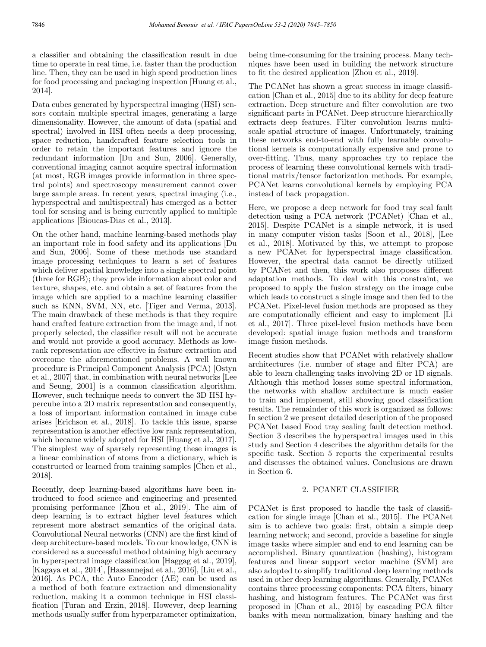a classifier and obtaining the classification result in due time to operate in real time, i.e. faster than the production line. Then, they can be used in high speed production lines for food processing and packaging inspection [Huang et al., 2014].

Data cubes generated by hyperspectral imaging (HSI) sensors contain multiple spectral images, generating a large dimensionality. However, the amount of data (spatial and spectral) involved in HSI often needs a deep processing, space reduction, handcrafted feature selection tools in order to retain the important features and ignore the redundant information [Du and Sun, 2006]. Generally, conventional imaging cannot acquire spectral information (at most, RGB images provide information in three spectral points) and spectroscopy measurement cannot cover large sample areas. In recent years, spectral imaging (i.e., hyperspectral and multispectral) has emerged as a better tool for sensing and is being currently applied to multiple applications [Bioucas-Dias et al., 2013].

On the other hand, machine learning-based methods play an important role in food safety and its applications [Du and Sun, 2006]. Some of these methods use standard image processing techniques to learn a set of features which deliver spatial knowledge into a single spectral point (three for RGB); they provide information about color and texture, shapes, etc. and obtain a set of features from the image which are applied to a machine learning classifier such as KNN, SVM, NN, etc. [Tiger and Verma, 2013]. The main drawback of these methods is that they require hand crafted feature extraction from the image and, if not properly selected, the classifier result will not be accurate and would not provide a good accuracy. Methods as lowrank representation are effective in feature extraction and overcome the aforementioned problems. A well known procedure is Principal Component Analysis (PCA) [Ostyn et al., 2007] that, in combination with neural networks [Lee and Seung, 2001] is a common classification algorithm. However, such technique needs to convert the 3D HSI hypercube into a 2D matrix representation and consequently, a loss of important information contained in image cube arises [Erichson et al., 2018]. To tackle this issue, sparse representation is another effective low rank representation, which became widely adopted for HSI [Huang et al., 2017]. The simplest way of sparsely representing these images is a linear combination of atoms from a dictionary, which is constructed or learned from training samples [Chen et al., 2018].

Recently, deep learning-based algorithms have been introduced to food science and engineering and presented promising performance [Zhou et al., 2019]. The aim of deep learning is to extract higher level features which represent more abstract semantics of the original data. Convolutional Neural networks (CNN) are the first kind of deep architecture-based models. To our knowledge, CNN is considered as a successful method obtaining high accuracy in hyperspectral image classification [Haggag et al., 2019], [Kagaya et al., 2014], [Hassannejad et al., 2016], [Liu et al., 2016]. As PCA, the Auto Encoder (AE) can be used as a method of both feature extraction and dimensionality reduction, making it a common technique in HSI classification [Turan and Erzin, 2018]. However, deep learning methods usually suffer from hyperparameter optimization, being time-consuming for the training process. Many techniques have been used in building the network structure to fit the desired application [Zhou et al., 2019].

The PCANet has shown a great success in image classification [Chan et al., 2015] due to its ability for deep feature extraction. Deep structure and filter convolution are two significant parts in PCANet. Deep structure hierarchically extracts deep features. Filter convolution learns multiscale spatial structure of images. Unfortunately, training these networks end-to-end with fully learnable convolutional kernels is computationally expensive and prone to over-fitting. Thus, many approaches try to replace the process of learning these convolutional kernels with traditional matrix/tensor factorization methods. For example, PCANet learns convolutional kernels by employing PCA instead of back propagation.

Here, we propose a deep network for food tray seal fault detection using a PCA network (PCANet) [Chan et al., 2015]. Despite PCANet is a simple network, it is used in many computer vision tasks [Soon et al., 2018], [Lee et al., 2018]. Motivated by this, we attempt to propose a new PCANet for hyperspectral image classification. However, the spectral data cannot be directly utilized by PCANet and then, this work also proposes different adaptation methods. To deal with this constraint, we proposed to apply the fusion strategy on the image cube which leads to construct a single image and then fed to the PCANet. Pixel-level fusion methods are proposed as they are computationally efficient and easy to implement [Li et al., 2017]. Three pixel-level fusion methods have been developed: spatial image fusion methods and transform image fusion methods.

Recent studies show that PCANet with relatively shallow architectures (i.e. number of stage and filter PCA) are able to learn challenging tasks involving 2D or 1D signals. Although this method losses some spectral information, the networks with shallow architecture is much easier to train and implement, still showing good classification results. The remainder of this work is organized as follows: In section 2 we present detailed description of the proposed PCANet based Food tray sealing fault detection method. Section 3 describes the hyperspectral images used in this study and Section 4 describes the algorithm details for the specific task. Section 5 reports the experimental results and discusses the obtained values. Conclusions are drawn in Section 6.

### 2. PCANET CLASSIFIER

PCANet is first proposed to handle the task of classification for single image [Chan et al., 2015]. The PCANet aim is to achieve two goals: first, obtain a simple deep learning network; and second, provide a baseline for single image tasks where simpler and end to end learning can be accomplished. Binary quantization (hashing), histogram features and linear support vector machine (SVM) are also adopted to simplify traditional deep learning methods used in other deep learning algorithms. Generally, PCANet contains three processing components: PCA filters, binary hashing, and histogram features. The PCANet was first proposed in [Chan et al., 2015] by cascading PCA filter banks with mean normalization, binary hashing and the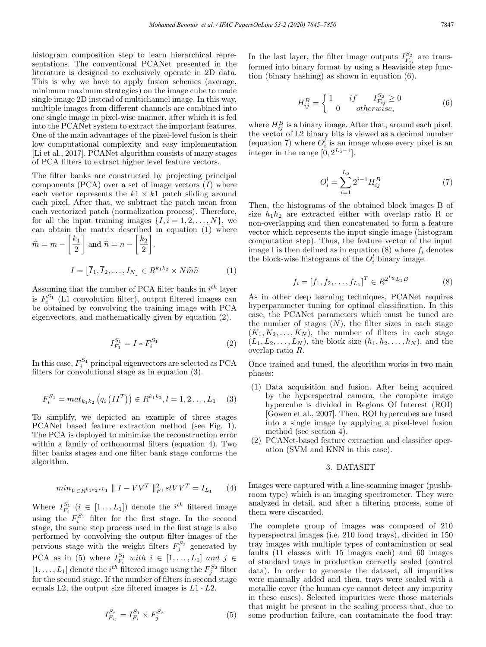histogram composition step to learn hierarchical representations. The conventional PCANet presented in the literature is designed to exclusively operate in 2D data. This is why we have to apply fusion schemes (average, minimum maximum strategies) on the image cube to made single image 2D instead of multichannel image. In this way, multiple images from different channels are combined into one single image in pixel-wise manner, after which it is fed into the PCANet system to extract the important features. One of the main advantages of the pixel-level fusion is their low computational complexity and easy implementation [Li et al., 2017]. PCANet algorithm consists of many stages of PCA filters to extract higher level feature vectors.

The filter banks are constructed by projecting principal components  $(PCA)$  over a set of image vectors  $(I)$  where each vector represents the  $k_1 \times k_1$  patch sliding around each pixel. After that, we subtract the patch mean from each vectorized patch (normalization process). Therefore, for all the input training images  $\{I, i = 1, 2, \ldots, N\}$ , we can obtain the matrix described in equation (1) where  $\lceil k_1 \rceil$  $\lceil k_2 \rceil$ 

$$
\widehat{m} = m - \left\lfloor \frac{k_1}{2} \right\rfloor \text{ and } \widehat{n} = n - \left\lfloor \frac{k_2}{2} \right\rfloor.
$$

$$
I = \left[ \overline{I}_1, \overline{I}_2, \dots, I_N \right] \in R^{k_1 k_2} \times N \widehat{m} \widehat{n} \tag{1}
$$

Assuming that the number of PCA filter banks in  $i^{th}$  layer is  $F_i^{S_1}$  (L1 convolution filter), output filtered images can be obtained by convolving the training image with PCA eigenvectors, and mathematically given by equation (2).

$$
I_{F_1}^{S_1} = I * F_i^{S_1}
$$
 (2)

In this case,  $F_i^{S_1}$  principal eigenvectors are selected as PCA filters for convolutional stage as in equation (3).

$$
F_i^{S_1} = mat_{k_1 k_2} (q_i (II^T)) \in R^{k_1 k_2}, l = 1, 2..., L_1
$$
 (3)

To simplify, we depicted an example of three stages PCANet based feature extraction method (see Fig. 1). The PCA is deployed to minimize the reconstruction error within a family of orthonormal filters (equation 4). Two filter banks stages and one filter bank stage conforms the algorithm.

$$
min_{V \in R^{k_1 k_2 * L_1}} \| I - VV^T \|_F^2, stVV^T = I_{L_1}
$$
 (4)

Where  $I_{F_i}^{S_1}$   $(i \in [1...L_1])$  denote the  $i^{th}$  filtered image using the  $F_i^{S_1}$  filter for the first stage. In the second stage, the same step process used in the first stage is also performed by convolving the output filter images of the pervious stage with the weight filters  $F_j^{S_2}$  generated by PCA as in (5) where  $I_{F_i}^{S_1}$  with  $i \in [1, ..., L_1]$  and  $j \in$  $[1,\ldots,L_1]$  denote the  $i^{th}$  filtered image using the  $F_j^{S_2}$  filter for the second stage. If the number of filters in second stage equals L2, the output size filtered images is  $L_1 \cdot L_2$ .

$$
I_{F_{ij}}^{S_2} = I_{F_i}^{S_1} \times F_j^{S_2}
$$
 (5)

In the last layer, the filter image outputs  $I_{F_{ij}}^{S_2}$  are transformed into binary format by using a Heaviside step function (binary hashing) as shown in equation (6).

$$
H_{ij}^B = \begin{cases} 1 & if & I_{F_{ij}}^{S_2} \ge 0\\ 0 & otherwise, \end{cases}
$$
 (6)

where  $H_{ij}^B$  is a binary image. After that, around each pixel, the vector of L2 binary bits is viewed as a decimal number (equation 7) where  $O_i^l$  is an image whose every pixel is an integer in the range  $[0, 2^{L_2-1}]$ .

$$
O_i^l = \sum_{i=1}^{L_2} 2^{i-1} H_{ij}^B
$$
 (7)

Then, the histograms of the obtained block images B of size  $h_1h_2$  are extracted either with overlap ratio R or non-overlapping and then concatenated to form a feature vector which represents the input single image (histogram computation step). Thus, the feature vector of the input image I is then defined as in equation  $(8)$  where  $f_i$  denotes the block-wise histograms of the  $O_i^l$  binary image.

$$
f_i = [f_1, f_2, \dots, f_{L_1}]^T \in R^{2^{L_2} L_1 B} \tag{8}
$$

As in other deep learning techniques, PCANet requires hyperparameter tuning for optimal classification. In this case, the PCANet parameters which must be tuned are the number of stages  $(N)$ , the filter sizes in each stage  $(K_1, K_2, \ldots, K_N)$ , the number of filters in each stage  $(L_1, L_2, \ldots, L_N)$ , the block size  $(h_1, h_2, \ldots, h_N)$ , and the overlap ratio R.

Once trained and tuned, the algorithm works in two main phases:

- (1) Data acquisition and fusion. After being acquired by the hyperspectral camera, the complete image hypercube is divided in Regions Of Interest (ROI) [Gowen et al., 2007]. Then, ROI hypercubes are fused into a single image by applying a pixel-level fusion method (see section 4).
- (2) PCANet-based feature extraction and classifier operation (SVM and KNN in this case).

### 3. DATASET

Images were captured with a line-scanning imager (pushbroom type) which is an imaging spectrometer. They were analyzed in detail, and after a filtering process, some of them were discarded.

The complete group of images was composed of 210 hyperspectral images (i.e. 210 food trays), divided in 150 tray images with multiple types of contamination or seal faults (11 classes with 15 images each) and 60 images of standard trays in production correctly sealed (control data). In order to generate the dataset, all impurities were manually added and then, trays were sealed with a metallic cover (the human eye cannot detect any impurity in these cases). Selected impurities were those materials that might be present in the sealing process that, due to some production failure, can contaminate the food tray: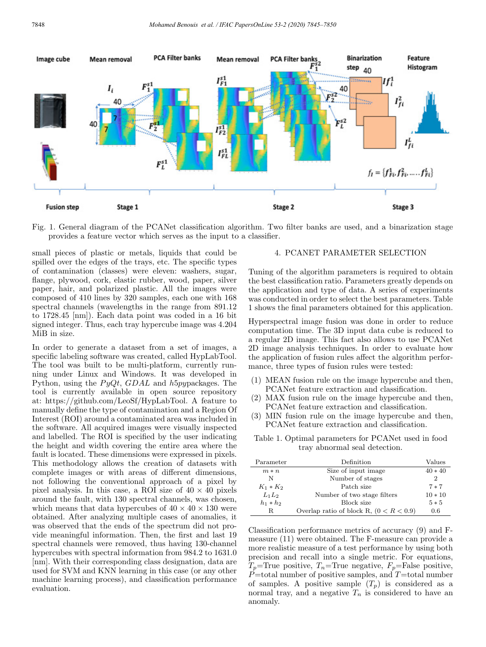

Fig. 1. General diagram of the PCANet classification algorithm. Two filter banks are used, and a binarization stage provides a feature vector which serves as the input to a classifier.

small pieces of plastic or metals, liquids that could be spilled over the edges of the trays, etc. The specific types of contamination (classes) were eleven: washers, sugar, flange, plywood, cork, elastic rubber, wood, paper, silver paper, hair, and polarized plastic. All the images were composed of 410 lines by 320 samples, each one with 168 spectral channels (wavelengths in the range from 891.12 to 1728.45 [nm]). Each data point was coded in a 16 bit signed integer. Thus, each tray hypercube image was 4.204 MiB in size.

In order to generate a dataset from a set of images, a specific labeling software was created, called HypLabTool. The tool was built to be multi-platform, currently running under Linux and Windows. It was developed in Python, using the  $PyQt, GDAL$  and h5pypackages. The tool is currently available in open source repository at: https://github.com/LeoSf/HypLabTool. A feature to manually define the type of contamination and a Region Of Interest (ROI) around a contaminated area was included in the software. All acquired images were visually inspected and labelled. The ROI is specified by the user indicating the height and width covering the entire area where the fault is located. These dimensions were expressed in pixels. This methodology allows the creation of datasets with complete images or with areas of different dimensions, not following the conventional approach of a pixel by pixel analysis. In this case, a ROI size of  $40 \times 40$  pixels around the fault, with 130 spectral channels, was chosen, which means that data hypercubes of  $40 \times 40 \times 130$  were obtained. After analyzing multiple cases of anomalies, it was observed that the ends of the spectrum did not provide meaningful information. Then, the first and last 19 spectral channels were removed, thus having 130-channel hypercubes with spectral information from  $984.2$  to  $1631.0$ [nm]. With their corresponding class designation, data are used for SVM and KNN learning in this case (or any other machine learning process), and classification performance evaluation.

## 4. PCANET PARAMETER SELECTION

Tuning of the algorithm parameters is required to obtain the best classification ratio. Parameters greatly depends on the application and type of data. A series of experiments was conducted in order to select the best parameters. Table 1 shows the final parameters obtained for this application.

Hyperspectral image fusion was done in order to reduce computation time. The 3D input data cube is reduced to a regular 2D image. This fact also allows to use PCANet 2D image analysis techniques. In order to evaluate how the application of fusion rules affect the algorithm performance, three types of fusion rules were tested:

- (1) MEAN fusion rule on the image hypercube and then, PCANet feature extraction and classification.
- (2) MAX fusion rule on the image hypercube and then, PCANet feature extraction and classification.
- (3) MIN fusion rule on the image hypercube and then, PCANet feature extraction and classification.

Table 1. Optimal parameters for PCANet used in food tray abnormal seal detection.

| Parameter   | Definition                                | Values    |
|-------------|-------------------------------------------|-----------|
| $m*n$       | Size of input image                       | $40 * 40$ |
| N           | Number of stages                          | 2         |
| $K_1 * K_2$ | Patch size                                | $7*7$     |
| $L_1L_2$    | Number of two stage filters               | $10 * 10$ |
| $h_1 * h_2$ | Block size                                | $5 * 5$   |
| R.          | Overlap ratio of block R, $(0 < R < 0.9)$ | 0.6       |

Classification performance metrics of accuracy (9) and Fmeasure (11) were obtained. The F-measure can provide a more realistic measure of a test performance by using both precision and recall into a single metric. For equations,  $T_p$ =True positive,  $T_n$ =True negative,  $F_p$ =False positive,  $\ddot{P}$ =total number of positive samples, and T=total number of samples. A positive sample  $(T_p)$  is considered as a normal tray, and a negative  $T_n$  is considered to have an anomaly.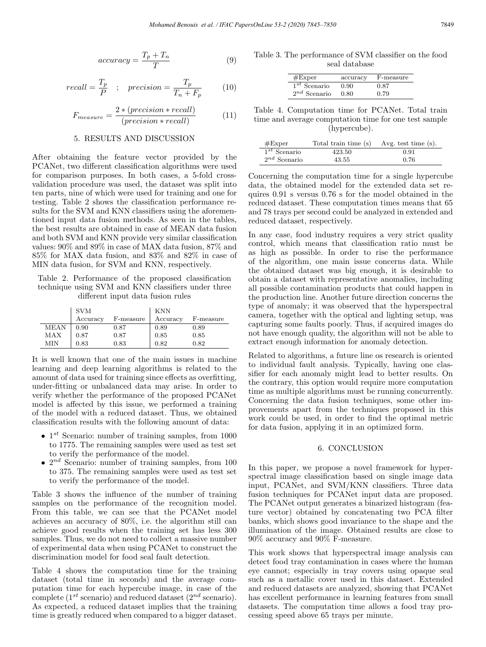$$
accuracy = \frac{T_p + T_n}{T}
$$
\n(9)

$$
recall = \frac{T_p}{P} \quad ; \quad precision = \frac{T_p}{T_n + F_p} \tag{10}
$$

$$
F_{measure} = \frac{2 * (precision * recall)}{(precision * recall)} \tag{11}
$$

### 5. RESULTS AND DISCUSSION

After obtaining the feature vector provided by the PCANet, two different classification algorithms were used for comparison purposes. In both cases, a 5-fold crossvalidation procedure was used, the dataset was split into ten parts, nine of which were used for training and one for testing. Table 2 shows the classification performance results for the SVM and KNN classifiers using the aforementioned input data fusion methods. As seen in the tables, the best results are obtained in case of MEAN data fusion and both SVM and KNN provide very similar classification values: 90% and 89% in case of MAX data fusion, 87% and 85% for MAX data fusion, and 83% and 82% in case of MIN data fusion, for SVM and KNN, respectively.

Table 2. Performance of the proposed classification technique using SVM and KNN classifiers under three different input data fusion rules

|      | <b>SVM</b> |           | <b>KNN</b> |           |
|------|------------|-----------|------------|-----------|
|      | Accuracy   | F-measure | Accuracy   | F-measure |
| MEAN | 0.90       | 0.87      | 0.89       | 0.89      |
| MAX  | 0.87       | 0.87      | 0.85       | 0.85      |
| MIN  | 0.83       | 0.83      | 0.82       | 0.82      |

It is well known that one of the main issues in machine learning and deep learning algorithms is related to the amount of data used for training since effects as overfitting, under-fitting or unbalanced data may arise. In order to verify whether the performance of the proposed PCANet model is affected by this issue, we performed a training of the model with a reduced dataset. Thus, we obtained classification results with the following amount of data:

- $1^{st}$  Scenario: number of training samples, from 1000 to 1775. The remaining samples were used as test set to verify the performance of the model.
- $2^{nd}$  Scenario: number of training samples, from 100 to 375. The remaining samples were used as test set to verify the performance of the model.

Table 3 shows the influence of the number of training samples on the performance of the recognition model. From this table, we can see that the PCANet model achieves an accuracy of 80%, i.e. the algorithm still can achieve good results when the training set has less 300 samples. Thus, we do not need to collect a massive number of experimental data when using PCANet to construct the discrimination model for food seal fault detection.

Table 4 shows the computation time for the training dataset (total time in seconds) and the average computation time for each hypercube image, in case of the complete ( $1^{st}$  scenario) and reduced dataset ( $2^{nd}$  scenario). As expected, a reduced dataset implies that the training time is greatly reduced when compared to a bigger dataset.

Table 3. The performance of SVM classifier on the food seal database

| $#$ Exper         | accuracy | F-measure |
|-------------------|----------|-----------|
| $1^{st}$ Scenario | 0.90     | 0.87      |
| $2^{nd}$ Scenario | 0.80     | 0.79      |

Table 4. Computation time for PCANet. Total train time and average computation time for one test sample (hypercube).

| $# \mathrm{Exper}$ | Total train time (s) | Avg. test time (s). |
|--------------------|----------------------|---------------------|
| $1^{st}$ Scenario  | 423.50               | 0.91                |
| $2^{nd}$ Scenario  | 43.55                | 0.76                |

Concerning the computation time for a single hypercube data, the obtained model for the extended data set requires 0.91 s versus 0.76 s for the model obtained in the reduced dataset. These computation times means that 65 and 78 trays per second could be analyzed in extended and reduced dataset, respectively.

In any case, food industry requires a very strict quality control, which means that classification ratio must be as high as possible. In order to rise the performance of the algorithm, one main issue concerns data. While the obtained dataset was big enough, it is desirable to obtain a dataset with representative anomalies, including all possible contamination products that could happen in the production line. Another future direction concerns the type of anomaly; it was observed that the hyperspectral camera, together with the optical and lighting setup, was capturing some faults poorly. Thus, if acquired images do not have enough quality, the algorithm will not be able to extract enough information for anomaly detection.

Related to algorithms, a future line os research is oriented to individual fault analysis. Typically, having one classifier for each anomaly might lead to better results. On the contrary, this option would require more computation time as multiple algorithms must be running concurrently. Concerning the data fusion techniques, some other improvements apart from the techniques proposed in this work could be used, in order to find the optimal metric for data fusion, applying it in an optimized form.

### 6. CONCLUSION

In this paper, we propose a novel framework for hyperspectral image classification based on single image data input, PCANet, and SVM/KNN classifiers. Three data fusion techniques for PCANet input data are proposed. The PCANet output generates a binarized histogram (feature vector) obtained by concatenating two PCA filter banks, which shows good invariance to the shape and the illumination of the image. Obtained results are close to 90% accuracy and 90% F-measure.

This work shows that hyperspectral image analysis can detect food tray contamination in cases where the human eye cannot; especially in tray covers using opaque seal such as a metallic cover used in this dataset. Extended and reduced datasets are analyzed, showing that PCANet has excellent performance in learning features from small datasets. The computation time allows a food tray processing speed above 65 trays per minute.